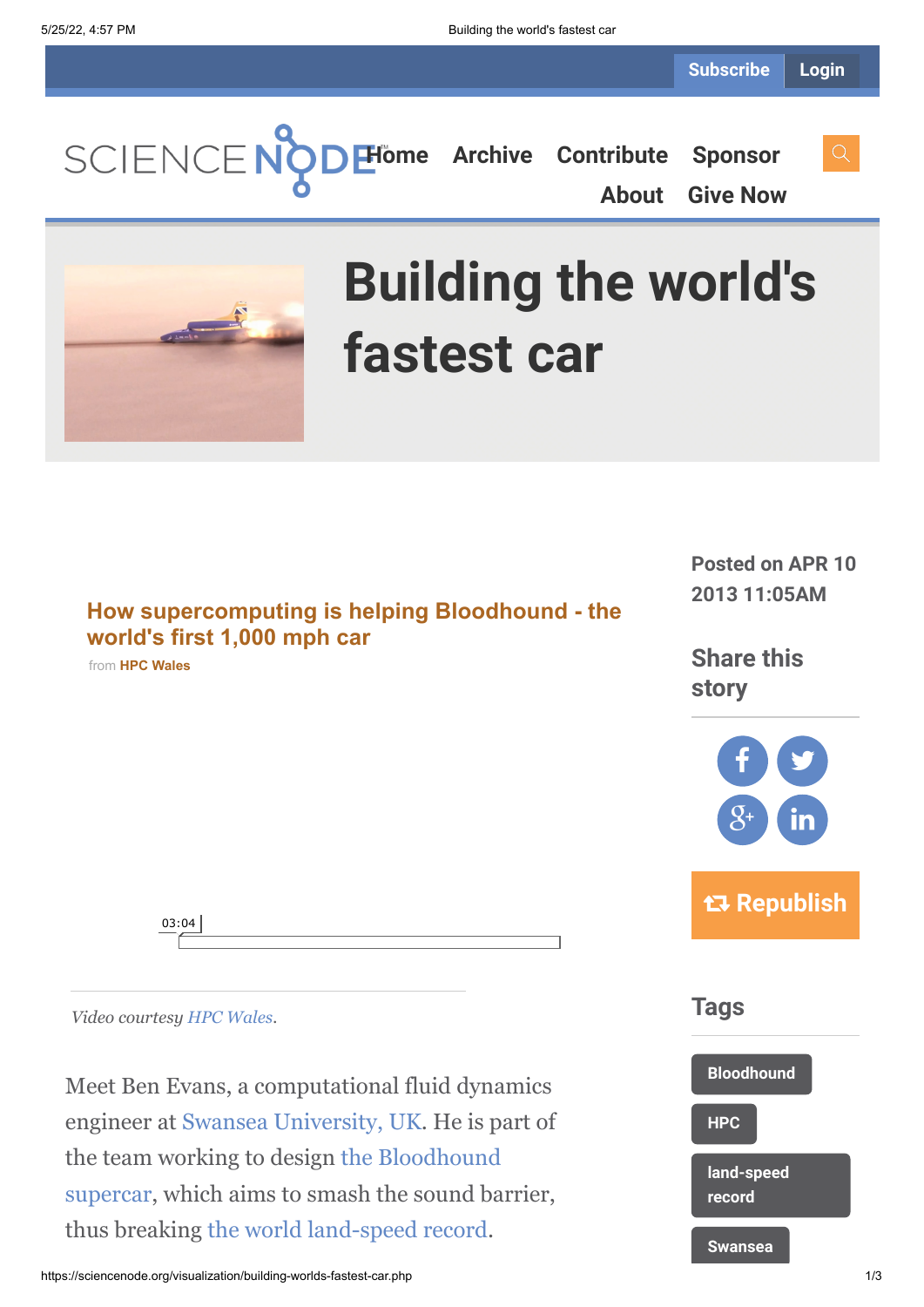**[Home](https://sciencenode.org/) [Archive](https://sciencenode.org/archive/index.php) [Contribute](https://sciencenode.org/contribute/index.php) [Sponsor](https://sciencenode.org/sponsor/index.php)**

**[About](https://sciencenode.org/about/index.php) [Give Now](https://sciencenode.org/donate/index.php)**



# **Building the world's fastest car**

**[How supercomputing is helping Bloodhound - the](https://vimeo.com/63386651?embedded=true&source=video_title&owner=10916999) world's first 1,000 mph car** from **[HPC Wales](https://vimeo.com/user10916999?embedded=true&source=owner_name&owner=10916999)**

**Posted on APR 10 2013 11:05AM**

**Share this story**





**Tags**



*Video courtesy [HPC Wales.](http://www.hpcwales.co.uk/)*

03:04

Meet Ben Evans, a computational fluid dynamics engineer at [Swansea University, UK.](http://www.swansea.ac.uk/) He is part of [the team working to design the Bloodhound](http://www.bloodhoundssc.com/) supercar, which aims to smash the sound barrier, thus breaking [the world land-speed record.](http://en.wikipedia.org/wiki/Land_speed_record)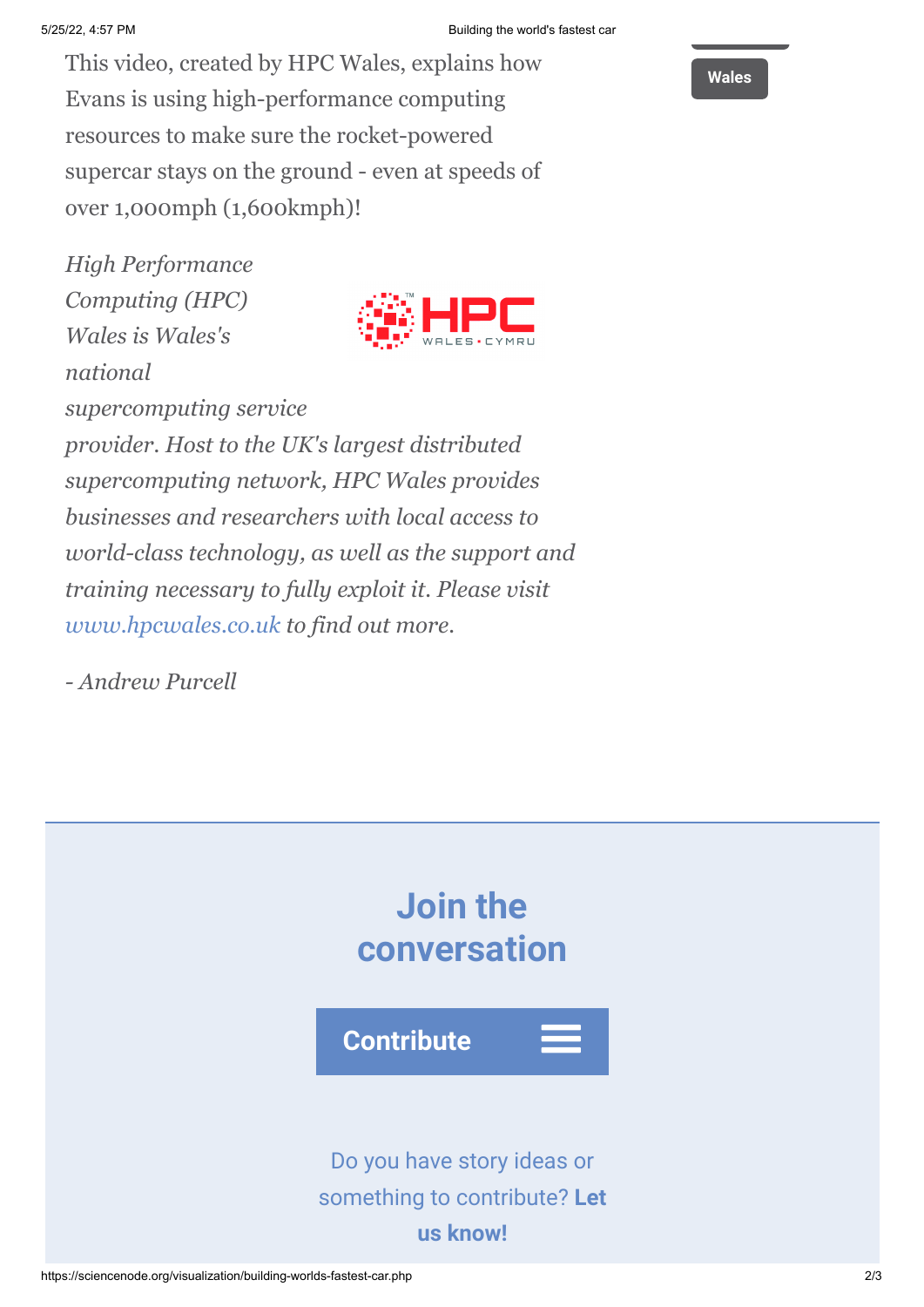This video, created by HPC Wales, explains how Evans is using high-performance computing resources to make sure the rocket-powered supercar stays on the ground - even at speeds of over 1,000mph (1,600kmph)!

*High Performance Computing (HPC) Wales is Wales's national*



*supercomputing service provider. Host to the UK's largest distributed supercomputing network, HPC Wales provides businesses and researchers with local access to world-class technology, as well as the support and training necessary to fully exploit it. Please visit [www.hpcwales.co.uk](http://www.hpcwales.co.uk/) to find out more.*

*- Andrew Purcell*



## **[Wales](https://sciencenode.org/tag/?tag=Wales)**